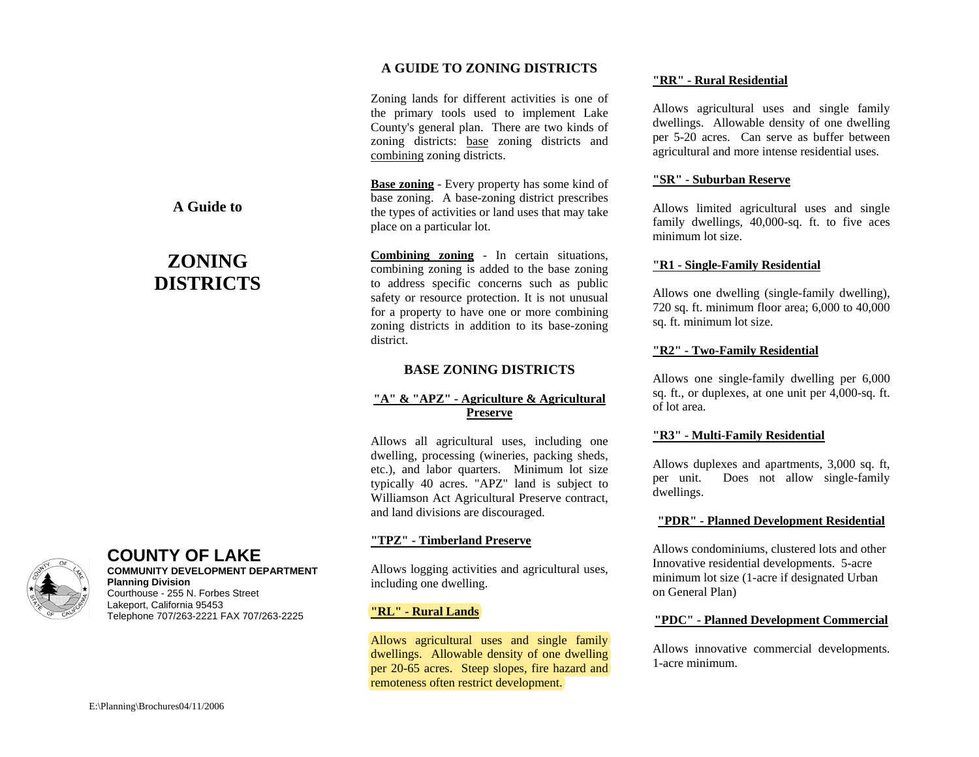## **A GUIDE TO ZONING DISTRICTS**

Zoning lands for different activities is one of the primary tools used to implement Lake County's general plan. There are two kinds of zoning districts: base zoning districts and combining zoning districts.

**Base zoning** - Every property has some kind of base zoning. A base-zoning district prescribes the types of activities or land uses that may take place on a particular lot.

**Combining zoning** - In certain situations, combining zoning is added to the base zoning to address specific concerns such as public safety or resource protection. It is not unusual for a property to have one or more combining zoning districts in addition to its base-zoning district.

#### **BASE ZONING DISTRICTS**

## **"A" & "APZ" - Agriculture & Agricultural Preserve**

Allows all agricultural uses, including one dwelling, processing (wineries, packing sheds, etc.), and labor quarters. Minimum lot size typically 40 acres. "APZ" land is subject to Williamson Act Agricultural Preserve contract, and land divisions are discouraged.

#### **"TPZ" - Timberland Preserve**

Allows logging activities and agricultural uses, including one dwelling.

#### **"RL" - Rural Lands**

Allows agricultural uses and single family dwellings. Allowable density of one dwelling per 20-65 acres. Steep slopes, fire hazard and remoteness often restrict development.

#### **"RR" - Rural Residential**

Allows agricultural uses and single family dwellings. Allowable density of one dwelling per 5-20 acres. Can serve as buffer between agricultural and more intense residential uses.

#### **"SR" - Suburban Reserve**

Allows limited agricultural uses and single family dwellings, 40,000-sq. ft. to five aces minimum lot size.

#### **"R1 - Single-Family Residential**

Allows one dwelling (single-family dwelling), 720 sq. ft. minimum floor area; 6,000 to 40,000 sq. ft. minimum lot size.

#### **"R2" - Two-Family Residential**

Allows one single-family dwelling per 6,000 sq. ft., or duplexes, at one unit per 4,000-sq. ft. of lot area.

#### **"R3" - Multi-Family Residential**

Allows duplexes and apartments, 3,000 sq. ft, per unit. Does not allow single-family dwellings.

#### **"PDR" - Planned Development Residential**

Allows condominiums, clustered lots and other Innovative residential developments. 5-acre minimum lot size (1-acre if designated Urban on General Plan)

#### **"PDC" - Planned Development Commercial**

Allows innovative commercial developments. 1-acre minimum.

# **A Guide to**

# **ZONING DISTRICTS**



## **COUNTY OF LAKE**

**COMMUNITY DEVELOPMENT DEPARTMENTPlanning Division**  Courthouse - 255 N. Forbes Street Lakeport, California 95453 Telephone 707/263-2221 FAX 707/263-2225